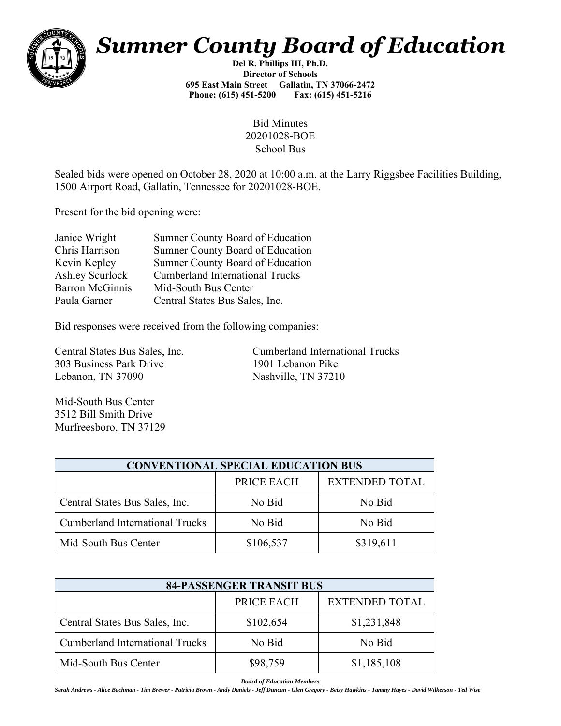

## *Sumner County Board of Education*

**Del R. Phillips III, Ph.D. Director of Schools 695 East Main Street Gallatin, TN 37066-2472 Phone: (615) 451-5200 Fax: (615) 451-5216** 

> Bid Minutes 20201028-BOE School Bus

Sealed bids were opened on October 28, 2020 at 10:00 a.m. at the Larry Riggsbee Facilities Building, 1500 Airport Road, Gallatin, Tennessee for 20201028-BOE.

Present for the bid opening were:

| Janice Wright          | Sumner County Board of Education       |
|------------------------|----------------------------------------|
| Chris Harrison         | Sumner County Board of Education       |
| Kevin Kepley           | Sumner County Board of Education       |
| Ashley Scurlock        | <b>Cumberland International Trucks</b> |
| <b>Barron McGinnis</b> | Mid-South Bus Center                   |
| Paula Garner           | Central States Bus Sales, Inc.         |
|                        |                                        |

Bid responses were received from the following companies:

303 Business Park Drive 1901 Lebanon Pike Lebanon, TN 37090 Nashville, TN 37210

Central States Bus Sales, Inc. Cumberland International Trucks

Mid-South Bus Center 3512 Bill Smith Drive Murfreesboro, TN 37129

| <b>CONVENTIONAL SPECIAL EDUCATION BUS</b> |            |                       |  |  |
|-------------------------------------------|------------|-----------------------|--|--|
|                                           | PRICE EACH | <b>EXTENDED TOTAL</b> |  |  |
| Central States Bus Sales, Inc.            | No Bid     | No Bid                |  |  |
| Cumberland International Trucks           | No Bid     | No Bid                |  |  |
| Mid-South Bus Center                      | \$106,537  | \$319,611             |  |  |

| <b>84-PASSENGER TRANSIT BUS</b>        |            |                       |  |  |
|----------------------------------------|------------|-----------------------|--|--|
|                                        | PRICE EACH | <b>EXTENDED TOTAL</b> |  |  |
| Central States Bus Sales, Inc.         | \$102,654  | \$1,231,848           |  |  |
| <b>Cumberland International Trucks</b> | No Bid     | No Bid                |  |  |
| Mid-South Bus Center                   | \$98,759   | \$1,185,108           |  |  |

*Board of Education Members*

Sarah Andrews - Alice Bachman - Tim Brewer - Patricia Brown - Andy Daniels - Jeff Duncan - Glen Gregory - Betsy Hawkins - Tammy Hayes - David Wilkerson - Ted Wise